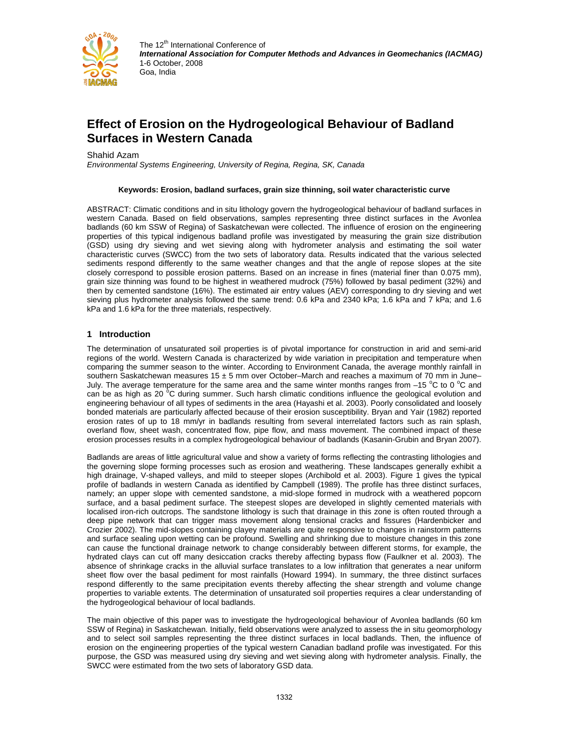

# **Effect of Erosion on the Hydrogeological Behaviour of Badland Surfaces in Western Canada**

Shahid Azam

*Environmental Systems Engineering, University of Regina, Regina, SK, Canada* 

#### **Keywords: Erosion, badland surfaces, grain size thinning, soil water characteristic curve**

ABSTRACT: Climatic conditions and in situ lithology govern the hydrogeological behaviour of badland surfaces in western Canada. Based on field observations, samples representing three distinct surfaces in the Avonlea badlands (60 km SSW of Regina) of Saskatchewan were collected. The influence of erosion on the engineering properties of this typical indigenous badland profile was investigated by measuring the grain size distribution (GSD) using dry sieving and wet sieving along with hydrometer analysis and estimating the soil water characteristic curves (SWCC) from the two sets of laboratory data. Results indicated that the various selected sediments respond differently to the same weather changes and that the angle of repose slopes at the site closely correspond to possible erosion patterns. Based on an increase in fines (material finer than 0.075 mm), grain size thinning was found to be highest in weathered mudrock (75%) followed by basal pediment (32%) and then by cemented sandstone (16%). The estimated air entry values (AEV) corresponding to dry sieving and wet sieving plus hydrometer analysis followed the same trend: 0.6 kPa and 2340 kPa; 1.6 kPa and 7 kPa; and 1.6 kPa and 1.6 kPa for the three materials, respectively.

## **1 Introduction**

The determination of unsaturated soil properties is of pivotal importance for construction in arid and semi-arid regions of the world. Western Canada is characterized by wide variation in precipitation and temperature when comparing the summer season to the winter. According to Environment Canada, the average monthly rainfall in southern Saskatchewan measures 15  $\pm$  5 mm over October–March and reaches a maximum of 70 mm in June– July. The average temperature for the same area and the same winter months ranges from  $-15$  °C to 0 °C and can be as high as 20 <sup>o</sup>C during summer. Such harsh climatic conditions influence the geological evolution and engineering behaviour of all types of sediments in the area (Hayashi et al. 2003). Poorly consolidated and loosely bonded materials are particularly affected because of their erosion susceptibility. Bryan and Yair (1982) reported erosion rates of up to 18 mm/yr in badlands resulting from several interrelated factors such as rain splash, overland flow, sheet wash, concentrated flow, pipe flow, and mass movement. The combined impact of these erosion processes results in a complex hydrogeological behaviour of badlands (Kasanin-Grubin and Bryan 2007).

Badlands are areas of little agricultural value and show a variety of forms reflecting the contrasting lithologies and the governing slope forming processes such as erosion and weathering. These landscapes generally exhibit a high drainage, V-shaped valleys, and mild to steeper slopes (Archibold et al. 2003). Figure 1 gives the typical profile of badlands in western Canada as identified by Campbell (1989). The profile has three distinct surfaces, namely; an upper slope with cemented sandstone, a mid-slope formed in mudrock with a weathered popcorn surface, and a basal pediment surface. The steepest slopes are developed in slightly cemented materials with localised iron-rich outcrops. The sandstone lithology is such that drainage in this zone is often routed through a deep pipe network that can trigger mass movement along tensional cracks and fissures (Hardenbicker and Crozier 2002). The mid-slopes containing clayey materials are quite responsive to changes in rainstorm patterns and surface sealing upon wetting can be profound. Swelling and shrinking due to moisture changes in this zone can cause the functional drainage network to change considerably between different storms, for example, the hydrated clays can cut off many desiccation cracks thereby affecting bypass flow (Faulkner et al. 2003). The absence of shrinkage cracks in the alluvial surface translates to a low infiltration that generates a near uniform sheet flow over the basal pediment for most rainfalls (Howard 1994). In summary, the three distinct surfaces respond differently to the same precipitation events thereby affecting the shear strength and volume change properties to variable extents. The determination of unsaturated soil properties requires a clear understanding of the hydrogeological behaviour of local badlands.

The main objective of this paper was to investigate the hydrogeological behaviour of Avonlea badlands (60 km SSW of Regina) in Saskatchewan. Initially, field observations were analyzed to assess the in situ geomorphology and to select soil samples representing the three distinct surfaces in local badlands. Then, the influence of erosion on the engineering properties of the typical western Canadian badland profile was investigated. For this purpose, the GSD was measured using dry sieving and wet sieving along with hydrometer analysis. Finally, the SWCC were estimated from the two sets of laboratory GSD data.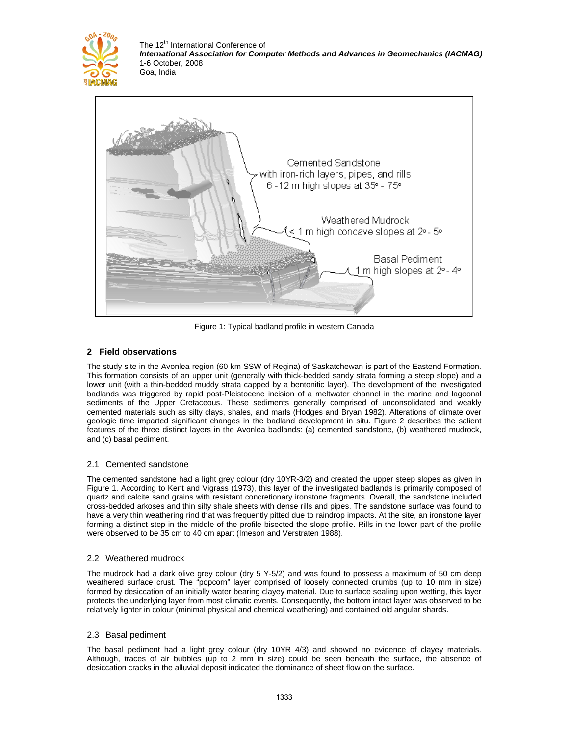



Figure 1: Typical badland profile in western Canada

# **2 Field observations**

The study site in the Avonlea region (60 km SSW of Regina) of Saskatchewan is part of the Eastend Formation. This formation consists of an upper unit (generally with thick-bedded sandy strata forming a steep slope) and a lower unit (with a thin-bedded muddy strata capped by a bentonitic layer). The development of the investigated badlands was triggered by rapid post-Pleistocene incision of a meltwater channel in the marine and lagoonal sediments of the Upper Cretaceous. These sediments generally comprised of unconsolidated and weakly cemented materials such as silty clays, shales, and marls (Hodges and Bryan 1982). Alterations of climate over geologic time imparted significant changes in the badland development in situ. Figure 2 describes the salient features of the three distinct layers in the Avonlea badlands: (a) cemented sandstone, (b) weathered mudrock, and (c) basal pediment.

# 2.1 Cemented sandstone

The cemented sandstone had a light grey colour (dry 10YR-3/2) and created the upper steep slopes as given in Figure 1. According to Kent and Vigrass (1973), this layer of the investigated badlands is primarily composed of quartz and calcite sand grains with resistant concretionary ironstone fragments. Overall, the sandstone included cross-bedded arkoses and thin silty shale sheets with dense rills and pipes. The sandstone surface was found to have a very thin weathering rind that was frequently pitted due to raindrop impacts. At the site, an ironstone layer forming a distinct step in the middle of the profile bisected the slope profile. Rills in the lower part of the profile were observed to be 35 cm to 40 cm apart (Imeson and Verstraten 1988).

## 2.2 Weathered mudrock

The mudrock had a dark olive grey colour (dry 5 Y-5/2) and was found to possess a maximum of 50 cm deep weathered surface crust. The "popcorn" layer comprised of loosely connected crumbs (up to 10 mm in size) formed by desiccation of an initially water bearing clayey material. Due to surface sealing upon wetting, this layer protects the underlying layer from most climatic events. Consequently, the bottom intact layer was observed to be relatively lighter in colour (minimal physical and chemical weathering) and contained old angular shards.

## 2.3 Basal pediment

The basal pediment had a light grey colour (dry 10YR 4/3) and showed no evidence of clayey materials. Although, traces of air bubbles (up to 2 mm in size) could be seen beneath the surface, the absence of desiccation cracks in the alluvial deposit indicated the dominance of sheet flow on the surface.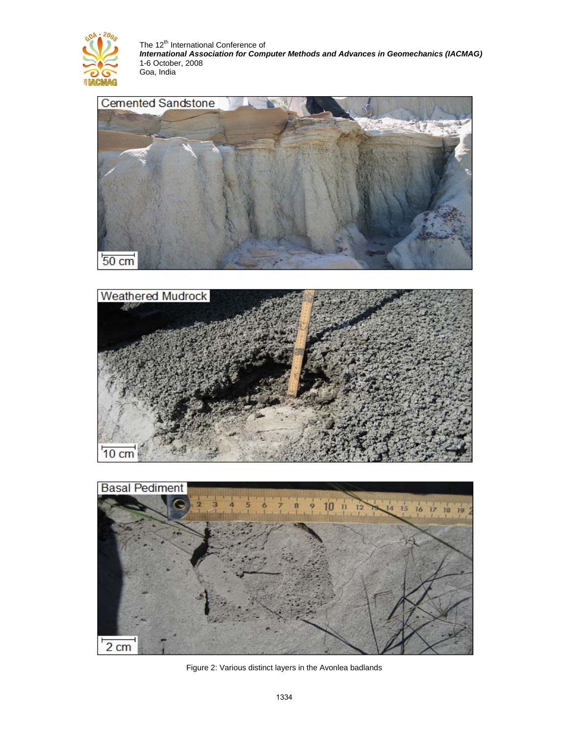







Figure 2: Various distinct layers in the Avonlea badlands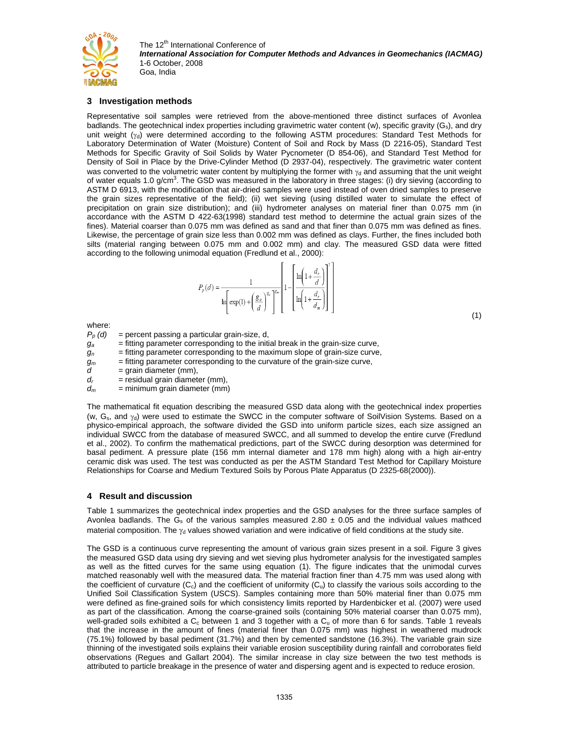

## **3 Investigation methods**

Representative soil samples were retrieved from the above-mentioned three distinct surfaces of Avonlea badlands. The geotechnical index properties including gravimetric water content (w), specific gravity  $(G_s)$ , and dry unit weight  $(\gamma_d)$  were determined according to the following ASTM procedures: Standard Test Methods for Laboratory Determination of Water (Moisture) Content of Soil and Rock by Mass (D 2216-05), Standard Test Methods for Specific Gravity of Soil Solids by Water Pycnometer (D 854-06), and Standard Test Method for Density of Soil in Place by the Drive-Cylinder Method (D 2937-04), respectively. The gravimetric water content was converted to the volumetric water content by multiplying the former with  $\gamma_d$  and assuming that the unit weight of water equals 1.0 g/cm<sup>3</sup>. The GSD was measured in the laboratory in three stages: (i) dry sieving (according to ASTM D 6913, with the modification that air-dried samples were used instead of oven dried samples to preserve the grain sizes representative of the field); (ii) wet sieving (using distilled water to simulate the effect of precipitation on grain size distribution); and (iii) hydrometer analyses on material finer than 0.075 mm (in accordance with the ASTM D 422-63(1998) standard test method to determine the actual grain sizes of the fines). Material coarser than 0.075 mm was defined as sand and that finer than 0.075 mm was defined as fines. Likewise, the percentage of grain size less than 0.002 mm was defined as clays. Further, the fines included both silts (material ranging between 0.075 mm and 0.002 mm) and clay. The measured GSD data were fitted according to the following unimodal equation (Fredlund et al., 2000):

$$
P_p(d) = \frac{1}{\ln\left(\exp(1) + \left(\frac{g_a}{d}\right)^{g_a}\right)^{g_a}\left[1 - \left[\frac{\ln\left(1 + \frac{d_r}{d}\right)}{\ln\left(1 + \frac{d_r}{d_m}\right)}\right]^{\gamma}\right]}
$$

 $(1)$ 

where:

- $P_p$  (d) = percent passing a particular grain-size, d,
- $g_a$  = fitting parameter corresponding to the initial break in the grain-size curve,
- $g_n$  = fitting parameter corresponding to the maximum slope of grain-size curve,
- $g_m$  = fitting parameter corresponding to the curvature of the grain-size curve,
- $d = \text{grain diameter (mm)}$ ,
- $d_r$  = residual grain diameter (mm),
- $d_m$  = minimum grain diameter (mm)

The mathematical fit equation describing the measured GSD data along with the geotechnical index properties (w,  $G_s$ , and  $\gamma_d$ ) were used to estimate the SWCC in the computer software of SoilVision Systems. Based on a physico-empirical approach, the software divided the GSD into uniform particle sizes, each size assigned an individual SWCC from the database of measured SWCC, and all summed to develop the entire curve (Fredlund et al., 2002). To confirm the mathematical predictions, part of the SWCC during desorption was determined for basal pediment. A pressure plate (156 mm internal diameter and 178 mm high) along with a high air-entry ceramic disk was used. The test was conducted as per the ASTM Standard Test Method for Capillary Moisture Relationships for Coarse and Medium Textured Soils by Porous Plate Apparatus (D 2325-68(2000)).

## **4 Result and discussion**

Table 1 summarizes the geotechnical index properties and the GSD analyses for the three surface samples of Avonlea badlands. The  $\bar{G}_s$  of the various samples measured 2.80  $\pm$  0.05 and the individual values mathced material composition. The  $\gamma_d$  values showed variation and were indicative of field conditions at the study site.

The GSD is a continuous curve representing the amount of various grain sizes present in a soil. Figure 3 gives the measured GSD data using dry sieving and wet sieving plus hydrometer analysis for the investigated samples as well as the fitted curves for the same using equation (1). The figure indicates that the unimodal curves matched reasonably well with the measured data. The material fraction finer than 4.75 mm was used along with the coefficient of curvature  $(C_c)$  and the coefficient of uniformity  $(C_u)$  to classify the various soils according to the Unified Soil Classification System (USCS). Samples containing more than 50% material finer than 0.075 mm were defined as fine-grained soils for which consistency limits reported by Hardenbicker et al. (2007) were used as part of the classification. Among the coarse-grained soils (containing 50% material coarser than 0.075 mm), well-graded soils exhibited a  $C<sub>c</sub>$  between 1 and 3 together with a  $C<sub>u</sub>$  of more than 6 for sands. Table 1 reveals that the increase in the amount of fines (material finer than 0.075 mm) was highest in weathered mudrock (75.1%) followed by basal pediment (31.7%) and then by cemented sandstone (16.3%). The variable grain size thinning of the investigated soils explains their variable erosion susceptibility during rainfall and corroborates field observations (Regues and Gallart 2004). The similar increase in clay size between the two test methods is attributed to particle breakage in the presence of water and dispersing agent and is expected to reduce erosion.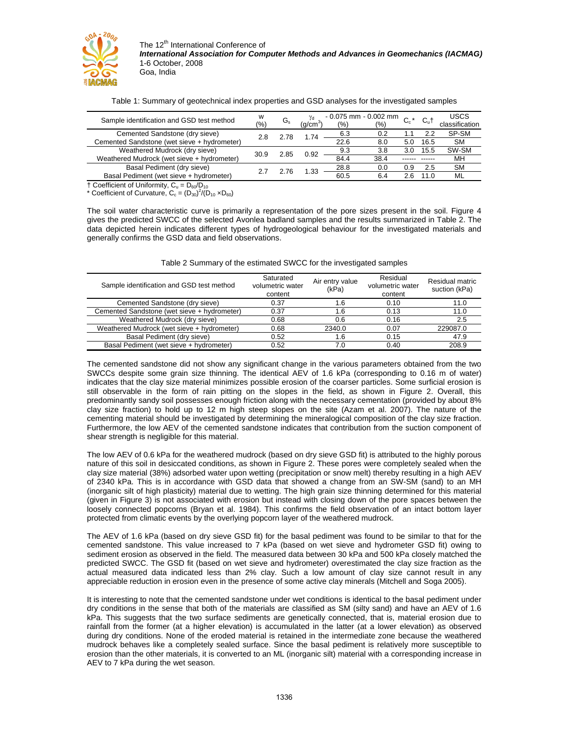

|  | Table 1: Summary of geotechnical index properties and GSD analyses for the investigated samples |  |  |  |  |
|--|-------------------------------------------------------------------------------------------------|--|--|--|--|
|  |                                                                                                 |  |  |  |  |

| Sample identification and GSD test method   | w<br>(%) | G.   | γd<br>a/cm | (%)  | $-0.075$ mm $-0.002$ mm<br>(9/0) | $\sim$ $*$<br>◡◦ | C⊮t  | <b>USCS</b><br>classification |
|---------------------------------------------|----------|------|------------|------|----------------------------------|------------------|------|-------------------------------|
| Cemented Sandstone (dry sieve)              | 2.8      | -78  | 1.74       | 6.3  | 0.2                              |                  | 22   | SP-SM                         |
| Cemented Sandstone (wet sieve + hydrometer) |          |      |            | 22.6 | 8.0                              | 5.0              | 16.5 | <b>SM</b>                     |
| Weathered Mudrock (dry sieve)               | 30.9     | 2.85 | 0.92       | 9.3  | 3.8                              | 3.0              | 15.5 | SW-SM                         |
| Weathered Mudrock (wet sieve + hydrometer)  |          |      |            | 84.4 | 38.4                             |                  |      | MH                            |
| Basal Pediment (dry sieve)                  |          | .76  | 1.33       | 28.8 | 0.0                              | 0.9              | 2.5  | <b>SM</b>                     |
| Basal Pediment (wet sieve + hydrometer)     |          |      |            | 60.5 | 6.4                              |                  | 11.0 | ML                            |

 $\dagger$  Coefficient of Uniformity,  $C_u = D_{60}/D_{10}$ 

\* Coefficient of Curvature,  $C_c = (D_{30})^2 / (D_{10} \times D_{60})$ 

The soil water characteristic curve is primarily a representation of the pore sizes present in the soil. Figure 4 gives the predicted SWCC of the selected Avonlea badland samples and the results summarized in Table 2. The data depicted herein indicates different types of hydrogeological behaviour for the investigated materials and generally confirms the GSD data and field observations.

| Sample identification and GSD test method   | Saturated<br>volumetric water<br>content | Air entry value<br>(kPa) | Residual<br>volumetric water<br>content | Residual matric<br>suction (kPa) |
|---------------------------------------------|------------------------------------------|--------------------------|-----------------------------------------|----------------------------------|
| Cemented Sandstone (dry sieve)              | 0.37                                     | 1.6                      | 0.10                                    | 11.0                             |
| Cemented Sandstone (wet sieve + hydrometer) | 0.37                                     | 1.6                      | 0.13                                    | 11.0                             |
| Weathered Mudrock (dry sieve)               | 0.68                                     | 0.6                      | 0.16                                    | 2.5                              |
| Weathered Mudrock (wet sieve + hydrometer)  | 0.68                                     | 2340.0                   | 0.07                                    | 229087.0                         |
| Basal Pediment (dry sieve)                  | 0.52                                     | 1.6                      | 0.15                                    | 47.9                             |
| Basal Pediment (wet sieve + hydrometer)     | 0.52                                     | 7.0                      | 0.40                                    | 208.9                            |

| Table 2 Summary of the estimated SWCC for the investigated samples |
|--------------------------------------------------------------------|
|--------------------------------------------------------------------|

The cemented sandstone did not show any significant change in the various parameters obtained from the two SWCCs despite some grain size thinning. The identical AEV of 1.6 kPa (corresponding to 0.16 m of water) indicates that the clay size material minimizes possible erosion of the coarser particles. Some surficial erosion is still observable in the form of rain pitting on the slopes in the field, as shown in Figure 2. Overall, this predominantly sandy soil possesses enough friction along with the necessary cementation (provided by about 8% clay size fraction) to hold up to 12 m high steep slopes on the site (Azam et al. 2007). The nature of the cementing material should be investigated by determining the mineralogical composition of the clay size fraction. Furthermore, the low AEV of the cemented sandstone indicates that contribution from the suction component of shear strength is negligible for this material.

The low AEV of 0.6 kPa for the weathered mudrock (based on dry sieve GSD fit) is attributed to the highly porous nature of this soil in desiccated conditions, as shown in Figure 2. These pores were completely sealed when the clay size material (38%) adsorbed water upon wetting (precipitation or snow melt) thereby resulting in a high AEV of 2340 kPa. This is in accordance with GSD data that showed a change from an SW-SM (sand) to an MH (inorganic silt of high plasticity) material due to wetting. The high grain size thinning determined for this material (given in Figure 3) is not associated with erosion but instead with closing down of the pore spaces between the loosely connected popcorns (Bryan et al. 1984). This confirms the field observation of an intact bottom layer protected from climatic events by the overlying popcorn layer of the weathered mudrock.

The AEV of 1.6 kPa (based on dry sieve GSD fit) for the basal pediment was found to be similar to that for the cemented sandstone. This value increased to 7 kPa (based on wet sieve and hydrometer GSD fit) owing to sediment erosion as observed in the field. The measured data between 30 kPa and 500 kPa closely matched the predicted SWCC. The GSD fit (based on wet sieve and hydrometer) overestimated the clay size fraction as the actual measured data indicated less than 2% clay. Such a low amount of clay size cannot result in any appreciable reduction in erosion even in the presence of some active clay minerals (Mitchell and Soga 2005).

It is interesting to note that the cemented sandstone under wet conditions is identical to the basal pediment under dry conditions in the sense that both of the materials are classified as SM (silty sand) and have an AEV of 1.6 kPa. This suggests that the two surface sediments are genetically connected, that is, material erosion due to rainfall from the former (at a higher elevation) is accumulated in the latter (at a lower elevation) as observed during dry conditions. None of the eroded material is retained in the intermediate zone because the weathered mudrock behaves like a completely sealed surface. Since the basal pediment is relatively more susceptible to erosion than the other materials, it is converted to an ML (inorganic silt) material with a corresponding increase in AEV to 7 kPa during the wet season.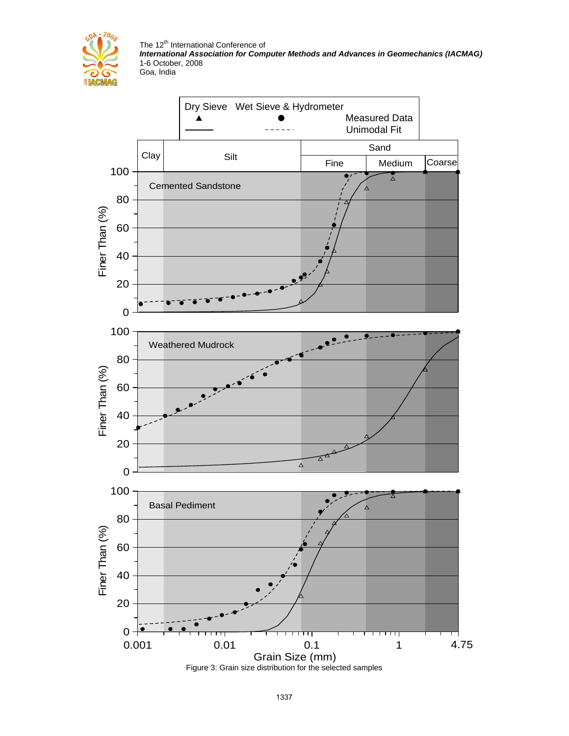

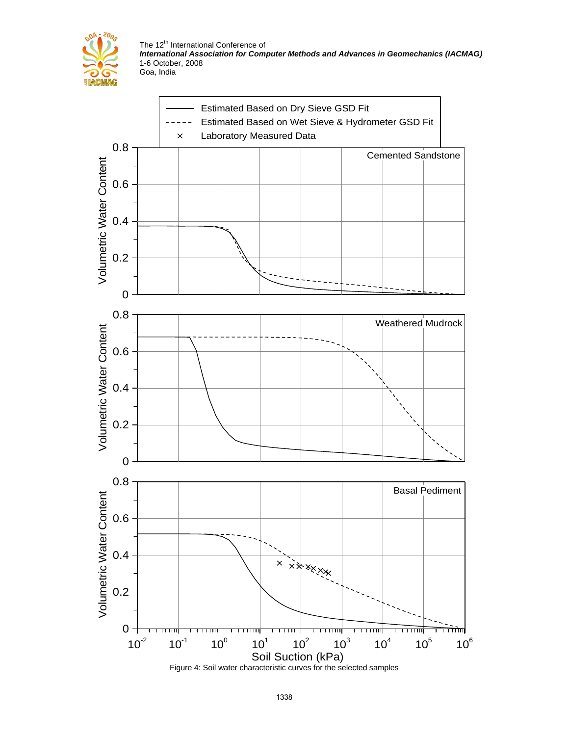